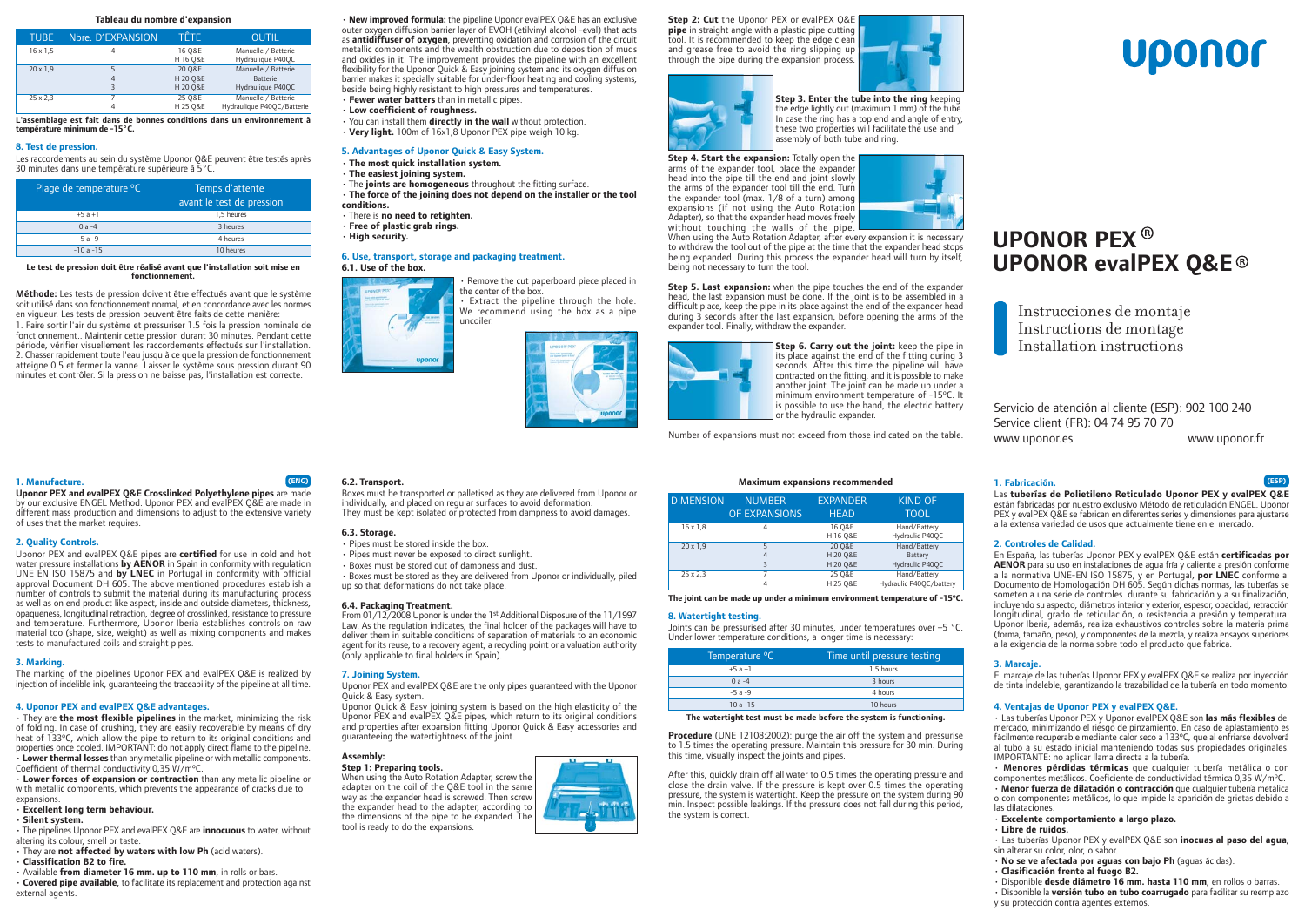#### Tableau du nombre d'expansion

| <b>TUBE</b>     | Nbre. D'EXPANSION | TÊTE               | <b>OUTIL</b>                             |
|-----------------|-------------------|--------------------|------------------------------------------|
| $16 \times 1.5$ |                   | 16 Q&E<br>H 16 Q&E | Manuelle / Batterie<br>Hydraulique P40QC |
| $20 \times 1,9$ |                   | 20 O&E             | Manuelle / Batterie                      |
|                 | 4                 | H 20 O&E           | <b>Batterie</b>                          |
|                 | ξ                 | H 20 Q&E           | Hydraulique P40OC                        |
| $25 \times 2,3$ |                   | 25 O&E             | Manuelle / Batterie                      |
|                 |                   | H 25 O&E           | Hydraulique P40QC/Batterie               |

L'assemblage est fait dans de bonnes conditions dans un environnement à température n  $\lim$ um de -15 $^{\circ}$ C.

#### 8. Test de pression.

Les raccordements au sein du système Uponor Q&E peuvent être testés après 30 minutes dans une température supérieure à 5°C.

| Plage de temperature °C | Temps d'attente           |
|-------------------------|---------------------------|
|                         | avant le test de pression |
| $+5a+1$                 | 1.5 heures                |
| $0a - 4$                | 3 heures                  |
| $-5a-9$                 | 4 heures                  |
| $-10a - 15$             | 10 heures                 |

#### Le test de pression doit être réalisé avant que l'installation soit mise en fonctionnement

Méthode: Les tests de pression doivent être effectués avant que le système soit utilisé dans son fonctionnement normal, et en concordance avec les normes en viqueur. Les tests de pression peuvent être faits de cette manière:

1. Faire sortir l'air du système et pressuriser 1.5 fois la pression nominale de fonctionnement.. Maintenir cette pression durant 30 minutes. Pendant cette période, vérifier visuellement les raccordements effectués sur l'installation. 2. Chasser rapidement toute l'eau jusqu'à ce que la pression de fonctionnement atteigne 0.5 et fermer la vanne. Laisser le système sous pression durant 90 minutes et contrôler. Si la pression ne baisse pas, l'installation est correcte.

# 1. Manufacture

Uponor PEX and evalPEX O&E Crosslinked Polyethylene pipes are made by our exclusive ENGEL Method. Uponor PEX and evalPEX Q&E are made in different mass production and dimensions to adjust to the extensive variety of uses that the market requires.

# 2. Quality Controls.

Uponor PEX and evalPEX O&E pipes are certified for use in cold and hot water pressure installations by AENOR in Spain in conformity with regulation UNE EN ISO 15875 and by LNEC in Portugal in conformity with official approval Document DH 605. The above mentioned procedures establish a number of controls to submit the material during its manufacturing process as well as on end product like aspect, inside and outside diameters, thickness, opaqueness, longitudinal retraction, degree of crosslinked, resistance to pressure and temperature. Furthermore, Uponor Iberia establishes controls on raw material too (shape, size, weight) as well as mixing components and makes tests to manufactured coils and straight pipes.

# 3. Marking

The marking of the pipelines Uponor PEX and evalPEX Q&E is realized by injection of indelible ink, quaranteeing the traceability of the pipeline at all time.

#### 4. Uponor PEX and evalPEX Q&E advantages.

· They are the most flexible pipelines in the market, minimizing the risk of folding. In case of crushing, they are easily recoverable by means of dry heat of 133°C, which allow the pipe to return to its original conditions and properties once cooled. IMPORTANT: do not apply direct flame to the pipeline. • Lower thermal losses than any metallic pipeline or with metallic components. Coefficient of thermal conductivity 0,35 W/m°C.

. Lower forces of expansion or contraction than any metallic pipeline or with metallic components, which prevents the appearance of cracks due to expansions

· Excellent long term behaviour. · Silent system.

· The pipelines Uponor PEX and evalPEX Q&E are *innocuous* to water, without altering its colour, smell or taste.

· They are not affected by waters with low Ph (acid waters).

· Classification B2 to fire.

· Available from diameter 16 mm. up to 110 mm, in rolls or bars. • Covered pipe available, to facilitate its replacement and protection against external agents.

. New improved formula: the pipeline Uponor evalPEX Q&E has an exclusive outer oxygen diffusion barrier layer of EVOH (etilvinyl alcohol -eval) that acts as antidiffuser of oxygen, preventing oxidation and corrosion of the circuit metallic components and the wealth obstruction due to deposition of muds and oxides in it. The improvement provides the pipeline with an excellent flexibility for the Uponor Quick & Easy joining system and its oxygen diffusion barrier makes it specially suitable for under-floor heating and cooling systems, beside being highly resistant to high pressures and temperatures.

- · Fewer water batters than in metallic pipes.
- · Low coefficient of roughness.
- . You can install them **directly in the wall** without protection.
- Very light. 100m of 16x1.8 Uponor PEX pipe weigh 10 kg.

# 5. Advantages of Uponor Ouick & Easy System.

- · The most quick installation system.
- · The easiest joining system.
- · The joints are homogeneous throughout the fitting surface.
- · The force of the joining does not depend on the installer or the tool conditions.
- · There is no need to retighten.
- · Free of plastic grab rings.
- · High security.

#### 6. Use, transport, storage and packaging treatment. 6.1. Use of the box.

Remove the cut paperboard piece placed in the center of the box.

· Extract the pipeline through the hole. We recommend using the box as a pipe uncoiler



Step 2: Cut the Uponor PEX or evalPEX Q&E pipe in straight angle with a plastic pipe cutting tool. It is recommended to keep the edge clean and grease free to avoid the ring slipping up through the pipe during the expansion process.





Step 3. Enter the tube into the ring keeping the edge lightly out (maximum 1 mm) of the tube. In case the ring has a top end and angle of entry, these two properties will facilitate the use and assembly of both tube and ring.

Step 4. Start the expansion: Totally open the arms of the expander tool, place the expander head into the pipe till the end and joint slowly the arms of the expander tool till the end. Turn the expander tool (max. 1/8 of a turn) among expansions (if not using the Auto Rotation Adapter), so that the expander head moves freely without touching the walls of the pipe.



When using the Auto Rotation Adapter, after every expansion it is necessary to withdraw the tool out of the pipe at the time that the expander head stops being expanded. During this process the expander head will turn by itself, being not necessary to turn the tool.

Step 5. Last expansion: when the pipe touches the end of the expander head, the last expansion must be done. If the joint is to be assembled in a difficult place, keep the pipe in its place against the end of the expander head during 3 seconds after the last expansion, before opening the arms of the expander tool. Finally, withdraw the expander.



Step 6. Carry out the joint: keep the pipe in its place against the end of the fitting during 3 seconds. After this time the pipeline will have contracted on the fitting, and it is possible to make another joint. The joint can be made up under a minimum environment temperature of -15°C. It s possible to use the hand, the electric battery or the hydraulic expander.

Number of expansions must not exceed from those indicated on the table.

#### **Maximum expansions recommended**

| <b>DIMENSION</b> | <b>NUMBER</b>  | <b>EXPANDER</b>    | KIND OF                                 |
|------------------|----------------|--------------------|-----------------------------------------|
|                  | OF EXPANSIONS  | <b>HEAD</b>        | <b>TOOL</b>                             |
| $16 \times 1,8$  | 4              | 16 Q&E<br>H 16 Q&E | Hand/Battery<br>Hydraulic P40QC         |
| $20 \times 1,9$  | 5              | 20 Q&E             | Hand/Battery                            |
|                  | $\overline{4}$ | H 20 Q&E           | Battery                                 |
|                  | 3              | H 20 Q&E           | Hydraulic P40QC                         |
| $25 \times 2,3$  | 4              | 25 Q&E<br>H 25 O&E | Hand/Battery<br>Hydraulic P40QC/battery |

The joint can be made up under a minimum environment temperature of -15°C.

## 8. Watertight testing.

Joints can be pressurised after 30 minutes, under temperatures over +5 °C. Under lower temperature conditions, a longer time is necessary:

| Temperature <sup>o</sup> C | Time until pressure testing |
|----------------------------|-----------------------------|
| $+5a+1$                    | 1.5 hours                   |
| $0a - 4$                   | 3 hours                     |
| $-5a-9$                    | 4 hours                     |
| $-10a - 15$                | 10 hours                    |

The watertight test must be made before the system is functioning.

Procedure (UNE 12108:2002): purge the air off the system and pressurise to 1.5 times the operating pressure. Maintain this pressure for 30 min. During this time, visually inspect the joints and pipes.

After this, quickly drain off all water to 0.5 times the operating pressure and close the drain valve. If the pressure is kept over 0.5 times the operating pressure, the system is watertight. Keep the pressure on the system during 90 min. Inspect possible leakings. If the pressure does not fall during this period, the system is correct.

# 6.2. Transport.

Boxes must be transported or palletised as they are delivered from Uponor or individually, and placed on regular surfaces to avoid deformation. They must be kept isolated or protected from dampness to avoid damages.

# 6.3. Storage.

 $(FNG)$ 

- · Pipes must be stored inside the box.
- · Pipes must never be exposed to direct sunlight.
- · Boxes must be stored out of dampness and dust.

· Boxes must be stored as they are delivered from Uponor or individually, piled up so that deformations do not take place.

#### 6.4. Packaging Treatment.

From 01/12/2008 Uponor is under the 1st Additional Disposure of the 11/1997 Law. As the regulation indicates, the final holder of the packages will have to deliver them in suitable conditions of separation of materials to an economic agent for its reuse, to a recovery agent, a recycling point or a valuation authority (only applicable to final holders in Spain).

#### 7. Joining System.

Uponor PEX and evalPEX Q&E are the only pipes quaranteed with the Uponor Quick & Fasy system

Uponor Quick & Easy joining system is based on the high elasticity of the Uponor PEX and evalPEX Q&E pipes, which return to its original conditions and properties after expansion fitting Uponor Quick & Easy accessories and guaranteeing the watertightness of the joint.

Assembly: Step 1: Preparing tools.

When using the Auto Rotation Adapter, screw the adapter on the coil of the O&E tool in the same way as the expander head is screwed. Then screw the expander head to the adapter, according to the dimensions of the pipe to be expanded. The tool is ready to do the expansions.





# **UPONOR PEX<sup>®</sup> UPONOR evalPEX Q&E®**

Instrucciones de montaje Instructions de montage Installation instructions

Servicio de atención al cliente (ESP): 902 100 240 Service client (FR): 04 74 95 70 70 www.uponor.es

www.uponor.fr

(ESP)

# 1. Fabricación.

# Las tuberías de Polietileno Reticulado Uponor PEX y evalPEX O&E

están fabricadas por nuestro exclusivo Método de reticulación ENGEL. Uponor PEX v evalPEX O&E se fabrican en diferentes series y dimensiones para ajustarse a la extensa variedad de usos que actualmente tiene en el mercado.

# 2. Controles de Calidad.

En España, las tuberías Uponor PEX y evalPEX O&E están certificadas por AENOR para su uso en instalaciones de aqua fría y caliente a presión conforme a la normativa UNE-EN ISO 15875, y en Portugal, por LNEC conforme al Documento de Homologación DH 605. Según dichas normas, las tuberías se someten a una serie de controles durante su fabricación y a su finalización. incluyendo su aspecto, diámetros interior y exterior, espesor, opacidad, retracción longitudinal, grado de reticulación, o resistencia a presión y temperatura. Uponor Iberia, además, realiza exhaustivos controles sobre la materia prima (forma, tamaño, peso), y componentes de la mezcla, y realiza ensayos superiores à la exigencia de la norma sobre todo el producto que fabrica.

# 3. Marcaie

El marcaje de las tuberías Uponor PEX y evalPEX Q&E se realiza por inyección de tinta indeleble, garantizando la trazabilidad de la tubería en todo momento.

# 4. Ventajas de Uponor PEX y evalPEX Q&E.

· Las tuberías Uponor PEX y Uponor evalPEX O&E son las más flexibles del mercado, minimizando el riesgo de pinzamiento. En caso de aplastamiento es fácilmente recuperable mediante calor seco a 133°C, que al enfriarse devolverá al tubo a su estado inicial manteniendo todas sus propiedades originales. IMPORTANTE: no aplicar llama directa a la tubería.

· Menores pérdidas térmicas que cualquier tubería metálica o con componentes metálicos. Coeficiente de conductividad térmica 0,35 W/m°C.

· Menor fuerza de dilatación o contracción que cualquier tubería metálica o con componentes metálicos, lo que impide la aparición de grietas debido a las dilataciones.

# · Excelente comportamiento a largo plazo.

 $\cdot$  Libre de ruidos.

· Las tuberías Uponor PEX y evalPEX Q&E son inocuas al paso del agua, sin alterar su color, olor, o sabor.

· No se ve afectada por aguas con bajo Ph (aquas ácidas).

- · Clasificación frente al fuego B2.
- · Disponible desde diámetro 16 mm. hasta 110 mm, en rollos o barras.

· Disponible la versión tubo en tubo coarrugado para facilitar su reemplazo y su protección contra agentes externos.